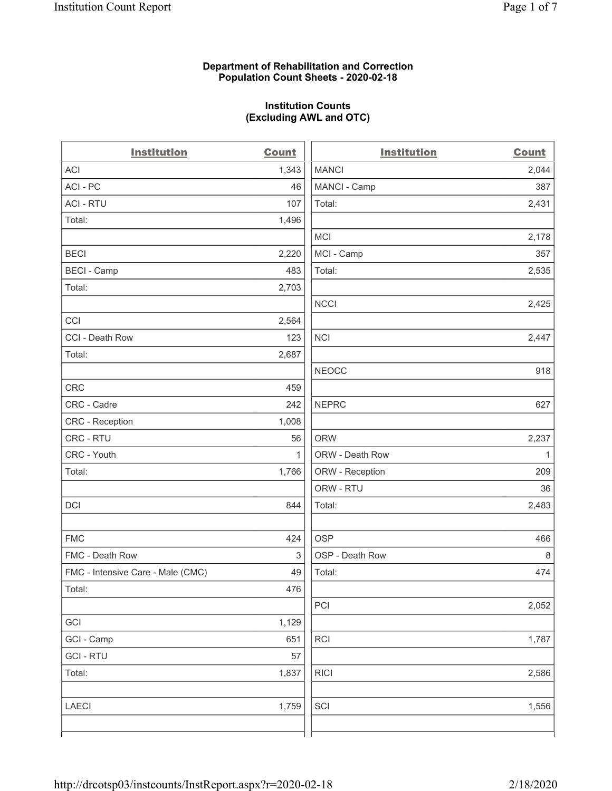### **Department of Rehabilitation and Correction Population Count Sheets - 2020-02-18**

# **Institution Counts (Excluding AWL and OTC)**

. .

| <b>Institution</b>                | <b>Count</b> | <b>Institution</b> | Count        |
|-----------------------------------|--------------|--------------------|--------------|
| <b>ACI</b>                        | 1,343        | <b>MANCI</b>       | 2,044        |
| ACI-PC                            | 46           | MANCI - Camp       | 387          |
| <b>ACI - RTU</b>                  | 107          | Total:             | 2,431        |
| Total:                            | 1,496        |                    |              |
|                                   |              | MCI                | 2,178        |
| <b>BECI</b>                       | 2,220        | MCI - Camp         | 357          |
| <b>BECI - Camp</b>                | 483          | Total:             | 2,535        |
| Total:                            | 2,703        |                    |              |
|                                   |              | <b>NCCI</b>        | 2,425        |
| CCI                               | 2,564        |                    |              |
| CCI - Death Row                   | 123          | <b>NCI</b>         | 2,447        |
| Total:                            | 2,687        |                    |              |
|                                   |              | <b>NEOCC</b>       | 918          |
| <b>CRC</b>                        | 459          |                    |              |
| CRC - Cadre                       | 242          | <b>NEPRC</b>       | 627          |
| <b>CRC</b> - Reception            | 1,008        |                    |              |
| CRC - RTU                         | 56           | <b>ORW</b>         | 2,237        |
| CRC - Youth                       | 1            | ORW - Death Row    | $\mathbf{1}$ |
| Total:                            | 1,766        | ORW - Reception    | 209          |
|                                   |              | ORW - RTU          | 36           |
| DCI                               | 844          | Total:             | 2,483        |
| <b>FMC</b>                        | 424          | <b>OSP</b>         | 466          |
| FMC - Death Row                   | 3            | OSP - Death Row    | 8            |
| FMC - Intensive Care - Male (CMC) | 49           | Total:             | 474          |
| Total:                            | 476          |                    |              |
|                                   |              | PCI                | 2,052        |
| GCI                               | 1,129        |                    |              |
| GCI - Camp                        | 651          | <b>RCI</b>         | 1,787        |
| <b>GCI-RTU</b>                    | 57           |                    |              |
| Total:                            | 1,837        | <b>RICI</b>        | 2,586        |
| <b>LAECI</b>                      | 1,759        | SCI                | 1,556        |
|                                   |              |                    |              |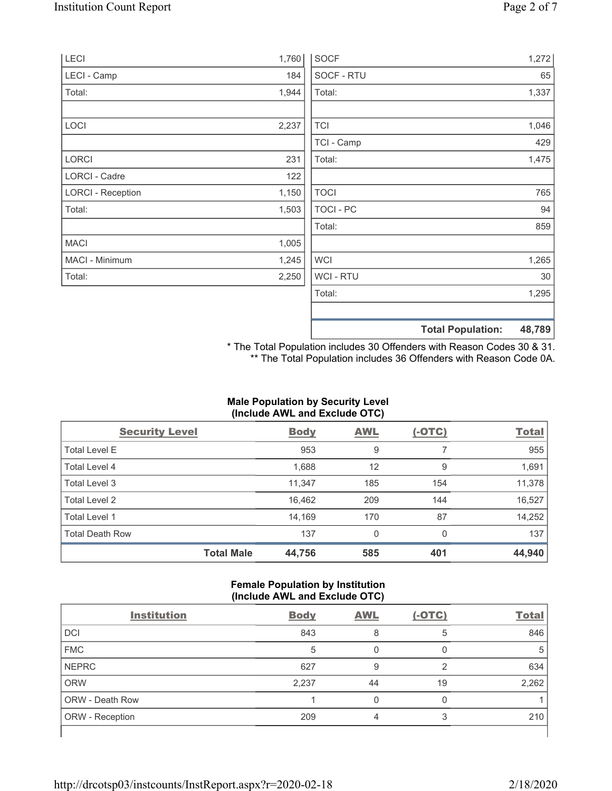| LECI                     | 1,760 | <b>SOCF</b>      | 1,272                              |
|--------------------------|-------|------------------|------------------------------------|
| LECI - Camp              | 184   | SOCF - RTU       | 65                                 |
| Total:                   | 1,944 | Total:           | 1,337                              |
| LOCI                     | 2,237 | <b>TCI</b>       | 1,046                              |
|                          |       | TCI - Camp       | 429                                |
| LORCI                    | 231   | Total:           | 1,475                              |
| LORCI - Cadre            | 122   |                  |                                    |
| <b>LORCI - Reception</b> | 1,150 | <b>TOCI</b>      | 765                                |
| Total:                   | 1,503 | <b>TOCI - PC</b> | 94                                 |
|                          |       | Total:           | 859                                |
| <b>MACI</b>              | 1,005 |                  |                                    |
| MACI - Minimum           | 1,245 | <b>WCI</b>       | 1,265                              |
| Total:                   | 2,250 | WCI - RTU        | 30                                 |
|                          |       | Total:           | 1,295                              |
|                          |       |                  | <b>Total Population:</b><br>48,789 |

\* The Total Population includes 30 Offenders with Reason Codes 30 & 31. \*\* The Total Population includes 36 Offenders with Reason Code 0A.

# **Male Population by Security Level (Include AWL and Exclude OTC)**

| <b>Security Level</b>  |                   | <b>Body</b> | <b>AWL</b> | <u>(-OTC)</u> | <b>Total</b> |
|------------------------|-------------------|-------------|------------|---------------|--------------|
| <b>Total Level E</b>   |                   | 953         | 9          |               | 955          |
| <b>Total Level 4</b>   |                   | 1,688       | 12         | 9             | 1,691        |
| Total Level 3          |                   | 11,347      | 185        | 154           | 11,378       |
| Total Level 2          |                   | 16,462      | 209        | 144           | 16,527       |
| Total Level 1          |                   | 14,169      | 170        | 87            | 14,252       |
| <b>Total Death Row</b> |                   | 137         | 0          | 0             | 137          |
|                        | <b>Total Male</b> | 44,756      | 585        | 401           | 44,940       |

## **Female Population by Institution (Include AWL and Exclude OTC)**

|                        |             | . .        |          |              |
|------------------------|-------------|------------|----------|--------------|
| <b>Institution</b>     | <b>Body</b> | <b>AWL</b> | $(-OTC)$ | <b>Total</b> |
| <b>DCI</b>             | 843         | 8          | 5        | 846          |
| <b>FMC</b>             | 5           |            |          | 5            |
| <b>NEPRC</b>           | 627         | 9          | ◠        | 634          |
| <b>ORW</b>             | 2,237       | 44         | 19       | 2,262        |
| <b>ORW - Death Row</b> |             |            |          |              |
| ORW - Reception        | 209         | Δ          | 3        | 210          |
|                        |             |            |          |              |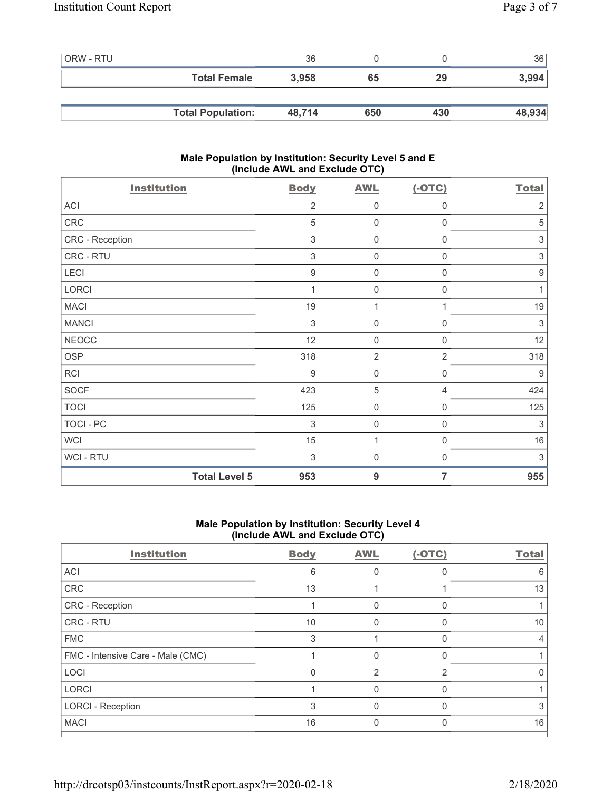| l ORW - RTU |                          | 36     |     |     | 36     |
|-------------|--------------------------|--------|-----|-----|--------|
|             | <b>Total Female</b>      | 3,958  | 65  | 29  | 3,994  |
|             |                          |        |     |     |        |
|             | <b>Total Population:</b> | 48,714 | 650 | 430 | 48,934 |

## **Male Population by Institution: Security Level 5 and E (Include AWL and Exclude OTC)**

| <b>Institution</b>   | <b>Body</b>      | <b>AWL</b>          | $(-OTC)$         | <b>Total</b>     |
|----------------------|------------------|---------------------|------------------|------------------|
| ACI                  | $\overline{2}$   | $\mathbf 0$         | $\mathbf 0$      | $\overline{2}$   |
| CRC                  | 5                | $\mathsf{O}\xspace$ | $\boldsymbol{0}$ | 5                |
| CRC - Reception      | 3                | $\mathsf{O}\xspace$ | 0                | 3                |
| CRC - RTU            | 3                | $\mathsf{O}\xspace$ | $\mathbf 0$      | $\sqrt{3}$       |
| LECI                 | $\boldsymbol{9}$ | $\mathsf{O}\xspace$ | 0                | $\boldsymbol{9}$ |
| LORCI                |                  | $\mathsf{O}\xspace$ | 0                | 1                |
| <b>MACI</b>          | 19               | 1                   | 1                | 19               |
| <b>MANCI</b>         | $\sqrt{3}$       | $\mathbf 0$         | 0                | 3                |
| <b>NEOCC</b>         | 12               | $\mathsf{O}\xspace$ | 0                | 12               |
| OSP                  | 318              | $\overline{2}$      | $\overline{2}$   | 318              |
| <b>RCI</b>           | $\boldsymbol{9}$ | $\mathbf 0$         | $\boldsymbol{0}$ | $9\,$            |
| <b>SOCF</b>          | 423              | $\sqrt{5}$          | $\overline{4}$   | 424              |
| <b>TOCI</b>          | 125              | $\mathsf{O}\xspace$ | $\boldsymbol{0}$ | 125              |
| TOCI - PC            | $\sqrt{3}$       | $\mathsf{O}\xspace$ | $\boldsymbol{0}$ | $\sqrt{3}$       |
| <b>WCI</b>           | 15               | 1                   | $\mathbf 0$      | 16               |
| WCI - RTU            | $\sqrt{3}$       | $\mathsf{O}\xspace$ | $\boldsymbol{0}$ | $\sqrt{3}$       |
| <b>Total Level 5</b> | 953              | 9                   | 7                | 955              |

## **Male Population by Institution: Security Level 4 (Include AWL and Exclude OTC)**

| <b>Institution</b>                | <b>Body</b> | <b>AWL</b>     | $(-OTC)$      | <b>Total</b> |
|-----------------------------------|-------------|----------------|---------------|--------------|
| ACI                               | 6           |                |               | 6            |
| CRC                               | 13          |                |               | 13           |
| CRC - Reception                   |             | 0              | 0             |              |
| CRC - RTU                         | 10          | U              | O             | 10           |
| <b>FMC</b>                        | 3           |                | ∩             |              |
| FMC - Intensive Care - Male (CMC) |             |                |               |              |
| LOCI                              | 0           | $\mathfrak{p}$ | $\mathcal{P}$ |              |
| <b>LORCI</b>                      |             | O              | $\Omega$      |              |
| <b>LORCI - Reception</b>          | 3           | U              | ∩             | 3            |
| <b>MACI</b>                       | 16          | 0              |               | 16           |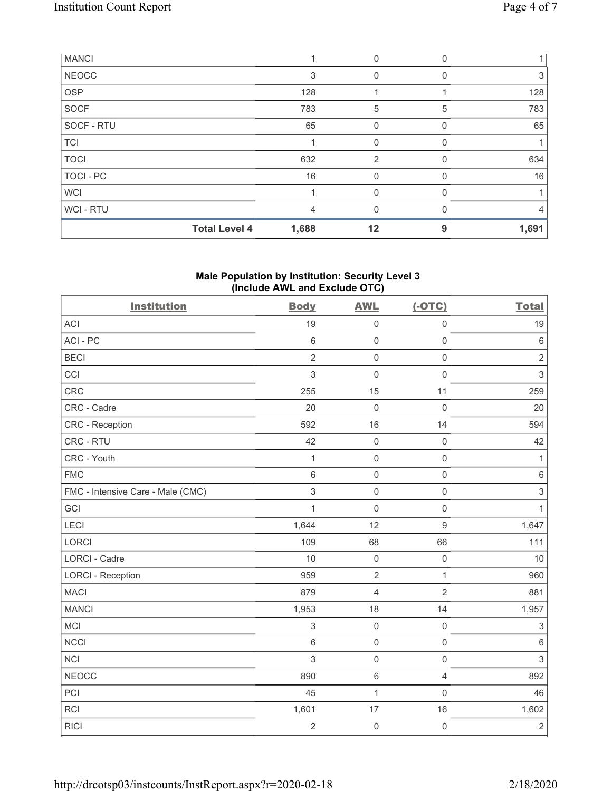| <b>MANCI</b> |                      |       | 0              |              |       |
|--------------|----------------------|-------|----------------|--------------|-------|
| <b>NEOCC</b> |                      | 3     |                |              | 3     |
| <b>OSP</b>   |                      | 128   |                |              | 128   |
| <b>SOCF</b>  |                      | 783   | 5              | 5            | 783   |
| SOCF - RTU   |                      | 65    | 0              |              | 65    |
| <b>TCI</b>   |                      |       | 0              | <sup>0</sup> |       |
| <b>TOCI</b>  |                      | 632   | $\overline{2}$ |              | 634   |
| TOCI - PC    |                      | 16    | 0              | 0            | 16    |
| <b>WCI</b>   |                      |       | 0              |              |       |
| WCI - RTU    |                      | 4     |                |              | 4     |
|              | <b>Total Level 4</b> | 1,688 | 12             | 9            | 1,691 |

## **Male Population by Institution: Security Level 3 (Include AWL and Exclude OTC)**

| <b>Institution</b>                | <b>Body</b>    | <b>AWL</b>          | $(-OTC)$            | <b>Total</b>              |
|-----------------------------------|----------------|---------------------|---------------------|---------------------------|
| <b>ACI</b>                        | 19             | $\mathsf{O}\xspace$ | $\mathsf{O}\xspace$ | 19                        |
| ACI-PC                            | $\,6\,$        | $\mathsf 0$         | $\mathsf{O}\xspace$ | $\,6\,$                   |
| <b>BECI</b>                       | $\overline{2}$ | $\mathsf 0$         | $\mathsf 0$         | $\sqrt{2}$                |
| CCI                               | 3              | $\mathsf 0$         | $\mathsf 0$         | $\ensuremath{\mathsf{3}}$ |
| CRC                               | 255            | 15                  | 11                  | 259                       |
| CRC - Cadre                       | 20             | $\mathsf{O}\xspace$ | $\mathbf 0$         | 20                        |
| CRC - Reception                   | 592            | 16                  | 14                  | 594                       |
| CRC - RTU                         | 42             | $\mathsf 0$         | $\mathbf 0$         | 42                        |
| CRC - Youth                       | $\mathbf 1$    | $\mathsf 0$         | $\mathsf{O}\xspace$ | $\mathbf{1}$              |
| <b>FMC</b>                        | $6\phantom{1}$ | $\mathsf 0$         | $\mathsf 0$         | $\,6\,$                   |
| FMC - Intensive Care - Male (CMC) | 3              | $\mathsf 0$         | $\mathsf 0$         | $\ensuremath{\mathsf{3}}$ |
| GCI                               | 1              | $\mathsf{O}\xspace$ | $\mathbf 0$         | 1                         |
| LECI                              | 1,644          | 12                  | $\boldsymbol{9}$    | 1,647                     |
| <b>LORCI</b>                      | 109            | 68                  | 66                  | 111                       |
| LORCI - Cadre                     | 10             | $\mathsf 0$         | $\mathsf{O}\xspace$ | 10                        |
| <b>LORCI - Reception</b>          | 959            | $\overline{2}$      | $\mathbf{1}$        | 960                       |
| <b>MACI</b>                       | 879            | $\overline{4}$      | $\overline{2}$      | 881                       |
| <b>MANCI</b>                      | 1,953          | 18                  | 14                  | 1,957                     |
| <b>MCI</b>                        | 3              | $\mathsf 0$         | $\mathsf{O}\xspace$ | $\sqrt{3}$                |
| <b>NCCI</b>                       | $\,6$          | $\mathsf 0$         | $\mathbf 0$         | $\,6\,$                   |
| <b>NCI</b>                        | 3              | $\mathsf 0$         | $\mathsf{O}\xspace$ | $\mathfrak{S}$            |
| NEOCC                             | 890            | $\,6\,$             | $\overline{4}$      | 892                       |
| PCI                               | 45             | $\mathbf{1}$        | $\mathsf{O}\xspace$ | 46                        |
| <b>RCI</b>                        | 1,601          | 17                  | 16                  | 1,602                     |
| <b>RICI</b>                       | $\overline{2}$ | $\mathsf{O}\xspace$ | $\mathsf{O}\xspace$ | $\sqrt{2}$                |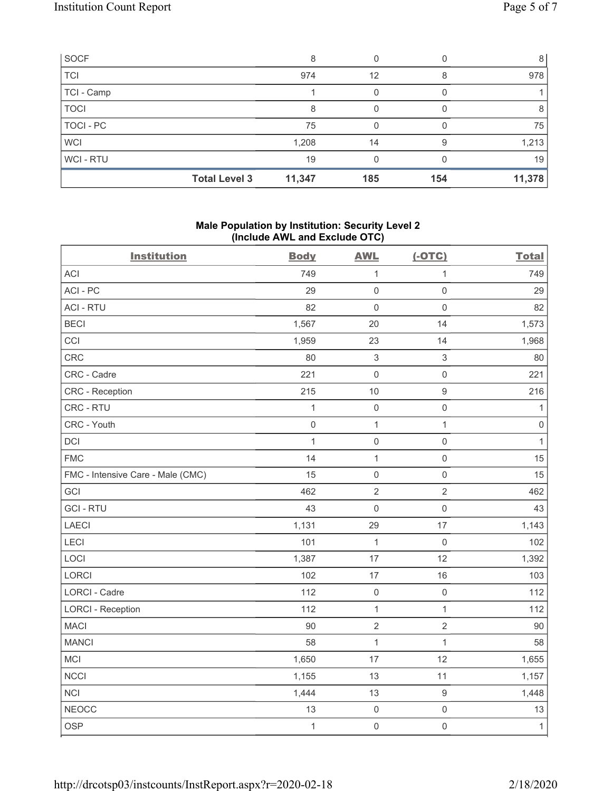| SOCF        |                      | 8      |     |     | 8      |
|-------------|----------------------|--------|-----|-----|--------|
| <b>TCI</b>  |                      | 974    | 12  |     | 978    |
| TCI - Camp  |                      |        |     |     |        |
| <b>TOCI</b> |                      | 8      |     |     | 8      |
| TOCI - PC   |                      | 75     |     |     | 75     |
| <b>WCI</b>  |                      | 1,208  | 14  |     | 1,213  |
| WCI-RTU     |                      | 19     |     |     | 19     |
|             | <b>Total Level 3</b> | 11,347 | 185 | 154 | 11,378 |

## **Male Population by Institution: Security Level 2 (Include AWL and Exclude OTC)**

| <b>Institution</b>                | <b>Body</b>  | <b>AWL</b>                | $(-OTC)$                  | <b>Total</b>        |
|-----------------------------------|--------------|---------------------------|---------------------------|---------------------|
| <b>ACI</b>                        | 749          | $\mathbf{1}$              | $\mathbf{1}$              | 749                 |
| ACI-PC                            | 29           | $\mathsf 0$               | $\mathsf 0$               | 29                  |
| <b>ACI - RTU</b>                  | 82           | $\mathbf 0$               | $\mathsf{O}\xspace$       | 82                  |
| <b>BECI</b>                       | 1,567        | 20                        | 14                        | 1,573               |
| CCI                               | 1,959        | 23                        | 14                        | 1,968               |
| <b>CRC</b>                        | 80           | $\ensuremath{\mathsf{3}}$ | $\ensuremath{\mathsf{3}}$ | 80                  |
| CRC - Cadre                       | 221          | $\mathbf 0$               | $\mathsf{O}\xspace$       | 221                 |
| CRC - Reception                   | 215          | 10                        | $\boldsymbol{9}$          | 216                 |
| CRC - RTU                         | 1            | $\mathbf 0$               | $\mathsf 0$               | 1                   |
| CRC - Youth                       | $\mathbf 0$  | $\mathbf{1}$              | $\mathbf{1}$              | $\mathsf{O}\xspace$ |
| DCI                               | $\mathbf{1}$ | $\mathsf{O}\xspace$       | $\mathsf{O}\xspace$       | $\mathbf{1}$        |
| <b>FMC</b>                        | 14           | $\mathbf{1}$              | $\mathsf{O}\xspace$       | 15                  |
| FMC - Intensive Care - Male (CMC) | 15           | $\mathbf 0$               | $\mathsf{O}\xspace$       | 15                  |
| GCI                               | 462          | $\sqrt{2}$                | $\mathbf{2}$              | 462                 |
| <b>GCI-RTU</b>                    | 43           | $\mathsf 0$               | $\mathsf{O}\xspace$       | 43                  |
| LAECI                             | 1,131        | 29                        | 17                        | 1,143               |
| LECI                              | 101          | $\mathbf{1}$              | $\mathsf{O}\xspace$       | 102                 |
| LOCI                              | 1,387        | 17                        | 12                        | 1,392               |
| LORCI                             | 102          | 17                        | 16                        | 103                 |
| LORCI - Cadre                     | 112          | $\mathsf 0$               | $\mathsf{O}\xspace$       | 112                 |
| <b>LORCI - Reception</b>          | 112          | $\mathbf{1}$              | $\mathbf{1}$              | 112                 |
| <b>MACI</b>                       | 90           | $\sqrt{2}$                | $\overline{2}$            | 90                  |
| <b>MANCI</b>                      | 58           | $\mathbf{1}$              | $\mathbf{1}$              | 58                  |
| MCI                               | 1,650        | 17                        | 12                        | 1,655               |
| <b>NCCI</b>                       | 1,155        | 13                        | 11                        | 1,157               |
| <b>NCI</b>                        | 1,444        | 13                        | $\boldsymbol{9}$          | 1,448               |
| <b>NEOCC</b>                      | 13           | $\mathbf 0$               | $\mathsf{O}\xspace$       | 13                  |
| <b>OSP</b>                        | $\mathbf{1}$ | $\mathsf{O}\xspace$       | $\mathsf{O}\xspace$       | $\mathbf{1}$        |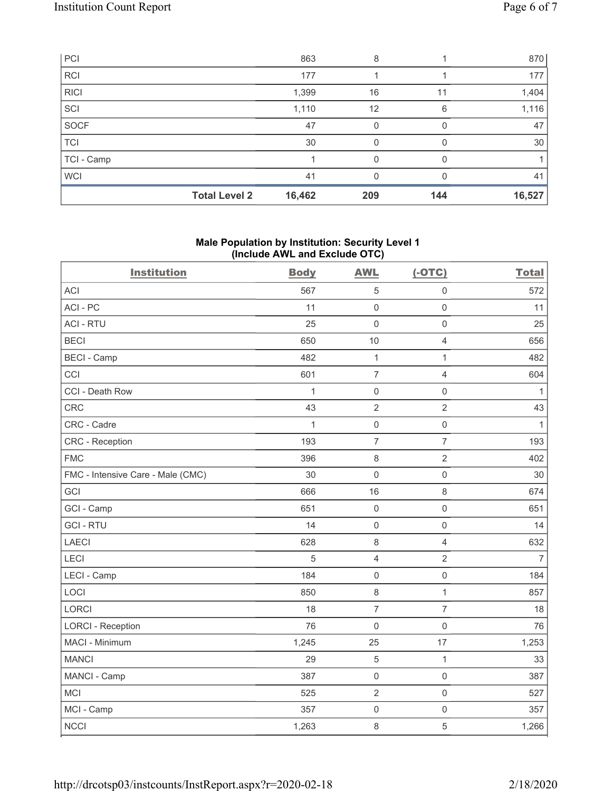| PCI         |                      | 863    | 8   |              | 870    |
|-------------|----------------------|--------|-----|--------------|--------|
| <b>RCI</b>  |                      | 177    |     |              | 177    |
| <b>RICI</b> |                      | 1,399  | 16  | 11           | 1,404  |
| SCI         |                      | 1,110  | 12  | 6            | 1,116  |
| SOCF        |                      | 47     | 0   |              | 47     |
| <b>TCI</b>  |                      | 30     | 0   | O            | 30     |
| TCI - Camp  |                      |        | 0   | <sup>0</sup> |        |
| <b>WCI</b>  |                      | 41     | 0   | O            | 41     |
|             | <b>Total Level 2</b> | 16,462 | 209 | 144          | 16,527 |

### **Male Population by Institution: Security Level 1 (Include AWL and Exclude OTC)**

| <b>Institution</b>                | <b>Body</b>  | <b>AWL</b>          | $(-OTC)$            | <b>Total</b>   |
|-----------------------------------|--------------|---------------------|---------------------|----------------|
| <b>ACI</b>                        | 567          | 5                   | $\mathbf 0$         | 572            |
| ACI-PC                            | 11           | $\mathbf 0$         | $\mathbf 0$         | 11             |
| <b>ACI - RTU</b>                  | 25           | $\mathsf 0$         | $\mathsf{O}\xspace$ | 25             |
| <b>BECI</b>                       | 650          | 10                  | $\overline{4}$      | 656            |
| <b>BECI - Camp</b>                | 482          | $\mathbf{1}$        | 1                   | 482            |
| CCI                               | 601          | $\overline{7}$      | $\overline{4}$      | 604            |
| CCI - Death Row                   | $\mathbf{1}$ | $\mathsf{O}\xspace$ | $\mathsf{O}\xspace$ | $\mathbf{1}$   |
| CRC                               | 43           | $\sqrt{2}$          | $\overline{2}$      | 43             |
| CRC - Cadre                       | $\mathbf{1}$ | $\mathsf{O}\xspace$ | $\mathsf{O}\xspace$ | $\mathbf{1}$   |
| CRC - Reception                   | 193          | $\overline{7}$      | $\overline{7}$      | 193            |
| <b>FMC</b>                        | 396          | $\,8\,$             | $\overline{2}$      | 402            |
| FMC - Intensive Care - Male (CMC) | 30           | $\mathsf{O}\xspace$ | $\mathsf{O}\xspace$ | 30             |
| GCI                               | 666          | 16                  | 8                   | 674            |
| GCI - Camp                        | 651          | $\mathbf 0$         | $\mathsf{O}\xspace$ | 651            |
| <b>GCI-RTU</b>                    | 14           | $\mathsf{O}\xspace$ | $\mathsf{O}\xspace$ | 14             |
| <b>LAECI</b>                      | 628          | $\,8\,$             | $\overline{4}$      | 632            |
| LECI                              | 5            | $\overline{4}$      | $\overline{2}$      | $\overline{7}$ |
| LECI - Camp                       | 184          | $\mathsf{O}\xspace$ | $\mathsf{O}\xspace$ | 184            |
| LOCI                              | 850          | $\,8\,$             | $\mathbf{1}$        | 857            |
| LORCI                             | 18           | $\overline{7}$      | $\overline{7}$      | 18             |
| <b>LORCI - Reception</b>          | 76           | $\mathsf 0$         | $\mathsf 0$         | 76             |
| MACI - Minimum                    | 1,245        | 25                  | 17                  | 1,253          |
| <b>MANCI</b>                      | 29           | $\mathbf 5$         | $\mathbf{1}$        | 33             |
| MANCI - Camp                      | 387          | $\mathsf{O}\xspace$ | $\mathsf{O}\xspace$ | 387            |
| <b>MCI</b>                        | 525          | $\overline{2}$      | $\mathsf{O}\xspace$ | 527            |
| MCI - Camp                        | 357          | $\mathbf 0$         | $\mathsf 0$         | 357            |
| <b>NCCI</b>                       | 1,263        | 8                   | 5                   | 1,266          |